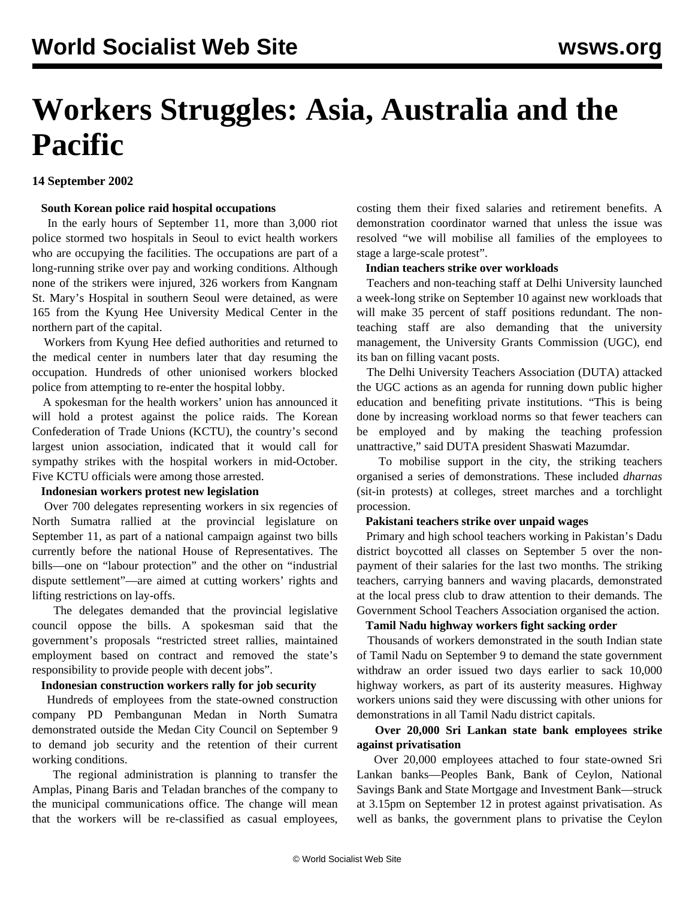# **Workers Struggles: Asia, Australia and the Pacific**

## **14 September 2002**

## **South Korean police raid hospital occupations**

 In the early hours of September 11, more than 3,000 riot police stormed two hospitals in Seoul to evict health workers who are occupying the facilities. The occupations are part of a long-running strike over pay and working conditions. Although none of the strikers were injured, 326 workers from Kangnam St. Mary's Hospital in southern Seoul were detained, as were 165 from the Kyung Hee University Medical Center in the northern part of the capital.

 Workers from Kyung Hee defied authorities and returned to the medical center in numbers later that day resuming the occupation. Hundreds of other unionised workers blocked police from attempting to re-enter the hospital lobby.

 A spokesman for the health workers' union has announced it will hold a protest against the police raids. The Korean Confederation of Trade Unions (KCTU), the country's second largest union association, indicated that it would call for sympathy strikes with the hospital workers in mid-October. Five KCTU officials were among those arrested.

## **Indonesian workers protest new legislation**

 Over 700 delegates representing workers in six regencies of North Sumatra rallied at the provincial legislature on September 11, as part of a national campaign against two bills currently before the national House of Representatives. The bills—one on "labour protection" and the other on "industrial dispute settlement"—are aimed at cutting workers' rights and lifting restrictions on lay-offs.

 The delegates demanded that the provincial legislative council oppose the bills. A spokesman said that the government's proposals "restricted street rallies, maintained employment based on contract and removed the state's responsibility to provide people with decent jobs".

## **Indonesian construction workers rally for job security**

 Hundreds of employees from the state-owned construction company PD Pembangunan Medan in North Sumatra demonstrated outside the Medan City Council on September 9 to demand job security and the retention of their current working conditions.

 The regional administration is planning to transfer the Amplas, Pinang Baris and Teladan branches of the company to the municipal communications office. The change will mean that the workers will be re-classified as casual employees, costing them their fixed salaries and retirement benefits. A demonstration coordinator warned that unless the issue was resolved "we will mobilise all families of the employees to stage a large-scale protest".

## **Indian teachers strike over workloads**

 Teachers and non-teaching staff at Delhi University launched a week-long strike on September 10 against new workloads that will make 35 percent of staff positions redundant. The nonteaching staff are also demanding that the university management, the University Grants Commission (UGC), end its ban on filling vacant posts.

 The Delhi University Teachers Association (DUTA) attacked the UGC actions as an agenda for running down public higher education and benefiting private institutions. "This is being done by increasing workload norms so that fewer teachers can be employed and by making the teaching profession unattractive," said DUTA president Shaswati Mazumdar.

 To mobilise support in the city, the striking teachers organised a series of demonstrations. These included *dharnas* (sit-in protests) at colleges, street marches and a torchlight procession.

## **Pakistani teachers strike over unpaid wages**

 Primary and high school teachers working in Pakistan's Dadu district boycotted all classes on September 5 over the nonpayment of their salaries for the last two months. The striking teachers, carrying banners and waving placards, demonstrated at the local press club to draw attention to their demands. The Government School Teachers Association organised the action.

#### **Tamil Nadu highway workers fight sacking order**

 Thousands of workers demonstrated in the south Indian state of Tamil Nadu on September 9 to demand the state government withdraw an order issued two days earlier to sack 10,000 highway workers, as part of its austerity measures. Highway workers unions said they were discussing with other unions for demonstrations in all Tamil Nadu district capitals.

## **Over 20,000 Sri Lankan state bank employees strike against privatisation**

 Over 20,000 employees attached to four state-owned Sri Lankan banks—Peoples Bank, Bank of Ceylon, National Savings Bank and State Mortgage and Investment Bank—struck at 3.15pm on September 12 in protest against privatisation. As well as banks, the government plans to privatise the Ceylon